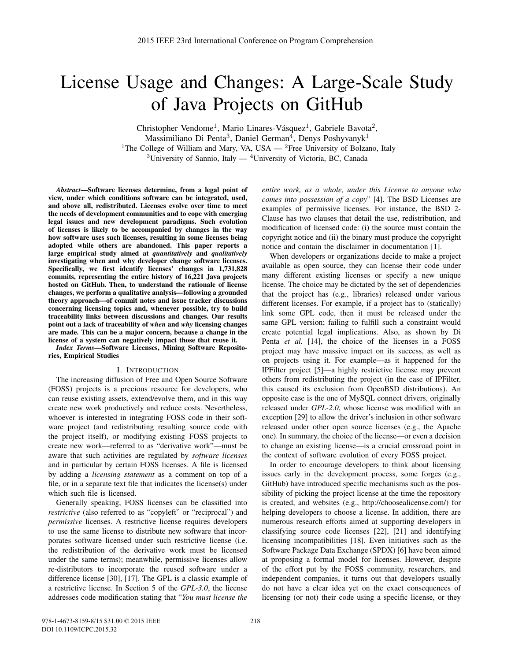# License Usage and Changes: A Large-Scale Study of Java Projects on GitHub

Christopher Vendome<sup>1</sup>, Mario Linares-Vásquez<sup>1</sup>, Gabriele Bavota<sup>2</sup>, Massimiliano Di Penta<sup>3</sup>, Daniel German<sup>4</sup>, Denys Poshyvanyk<sup>1</sup> <sup>1</sup>The College of William and Mary, VA, USA — <sup>2</sup>Free University of Bolzano, Italy

 $3$ University of Sannio, Italy —  $4$ University of Victoria, BC, Canada

*Abstract*—Software licenses determine, from a legal point of view, under which conditions software can be integrated, used, and above all, redistributed. Licenses evolve over time to meet the needs of development communities and to cope with emerging legal issues and new development paradigms. Such evolution of licenses is likely to be accompanied by changes in the way how software uses such licenses, resulting in some licenses being adopted while others are abandoned. This paper reports a large empirical study aimed at *quantitatively* and *qualitatively* investigating when and why developer change software licenses. Specifically, we first identify licenses' changes in 1,731,828 commits, representing the entire history of 16,221 Java projects hosted on GitHub. Then, to understand the rationale of license changes, we perform a qualitative analysis—following a grounded theory approach—of commit notes and issue tracker discussions concerning licensing topics and, whenever possible, try to build traceability links between discussions and changes. Our results point out a lack of traceability of *when* and *why* licensing changes are made. This can be a major concern, because a change in the license of a system can negatively impact those that reuse it.

*Index Terms*—Software Licenses, Mining Software Repositories, Empirical Studies

#### I. INTRODUCTION

The increasing diffusion of Free and Open Source Software (FOSS) projects is a precious resource for developers, who can reuse existing assets, extend/evolve them, and in this way create new work productively and reduce costs. Nevertheless, whoever is interested in integrating FOSS code in their software project (and redistributing resulting source code with the project itself), or modifying existing FOSS projects to create new work—referred to as "derivative work"—must be aware that such activities are regulated by *software licenses* and in particular by certain FOSS licenses. A file is licensed by adding a *licensing statement* as a comment on top of a file, or in a separate text file that indicates the license(s) under which such file is licensed.

Generally speaking, FOSS licenses can be classified into *restrictive* (also referred to as "copyleft" or "reciprocal") and *permissive* licenses. A restrictive license requires developers to use the same license to distribute new software that incorporates software licensed under such restrictive license (i.e. the redistribution of the derivative work must be licensed under the same terms); meanwhile, permissive licenses allow re-distributors to incorporate the reused software under a difference license [30], [17]. The GPL is a classic example of a restrictive license. In Section 5 of the *GPL-3.0*, the license addresses code modification stating that "*You must license the* *entire work, as a whole, under this License to anyone who comes into possession of a copy*" [4]. The BSD Licenses are examples of permissive licenses. For instance, the BSD 2- Clause has two clauses that detail the use, redistribution, and modification of licensed code: (i) the source must contain the copyright notice and (ii) the binary must produce the copyright notice and contain the disclaimer in documentation [1].

When developers or organizations decide to make a project available as open source, they can license their code under many different existing licenses or specify a new unique license. The choice may be dictated by the set of dependencies that the project has (e.g., libraries) released under various different licenses. For example, if a project has to (statically) link some GPL code, then it must be released under the same GPL version; failing to fulfill such a constraint would create potential legal implications. Also, as shown by Di Penta *et al.* [14], the choice of the licenses in a FOSS project may have massive impact on its success, as well as on projects using it. For example—as it happened for the IPFilter project [5]—a highly restrictive license may prevent others from redistributing the project (in the case of IPFilter, this caused its exclusion from OpenBSD distributions). An opposite case is the one of MySQL connect drivers, originally released under *GPL-2.0*, whose license was modified with an exception [29] to allow the driver's inclusion in other software released under other open source licenses (e.g., the Apache one). In summary, the choice of the license—or even a decision to change an existing license—is a crucial crossroad point in the context of software evolution of every FOSS project.

In order to encourage developers to think about licensing issues early in the development process, some forges (e.g., GitHub) have introduced specific mechanisms such as the possibility of picking the project license at the time the repository is created, and websites (e.g., http://choosealicense.com/) for helping developers to choose a license. In addition, there are numerous research efforts aimed at supporting developers in classifying source code licenses [22], [21] and identifying licensing incompatibilities [18]. Even initiatives such as the Software Package Data Exchange (SPDX) [6] have been aimed at proposing a formal model for licenses. However, despite of the effort put by the FOSS community, researchers, and independent companies, it turns out that developers usually do not have a clear idea yet on the exact consequences of licensing (or not) their code using a specific license, or they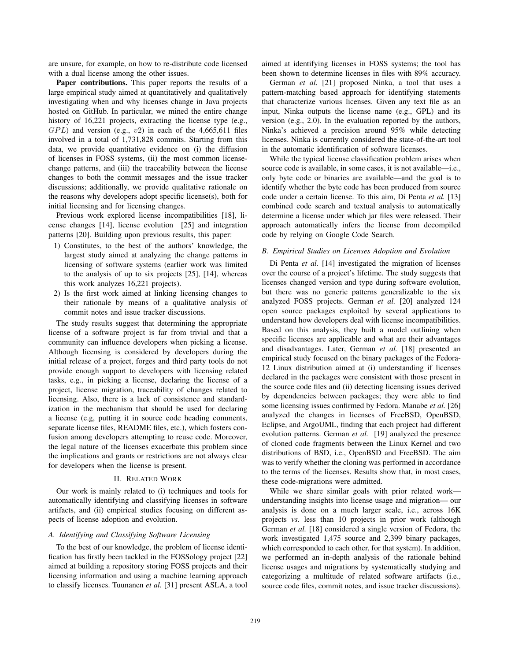are unsure, for example, on how to re-distribute code licensed with a dual license among the other issues.

Paper contributions. This paper reports the results of a large empirical study aimed at quantitatively and qualitatively investigating when and why licenses change in Java projects hosted on GitHub. In particular, we mined the entire change history of 16,221 projects, extracting the license type (e.g.,  $GPL$ ) and version (e.g.,  $v2$ ) in each of the 4,665,611 files involved in a total of 1,731,828 commits. Starting from this data, we provide quantitative evidence on (i) the diffusion of licenses in FOSS systems, (ii) the most common licensechange patterns, and (iii) the traceability between the license changes to both the commit messages and the issue tracker discussions; additionally, we provide qualitative rationale on the reasons why developers adopt specific license(s), both for initial licensing and for licensing changes.

Previous work explored license incompatibilities [18], license changes [14], license evolution [25] and integration patterns [20]. Building upon previous results, this paper:

- 1) Constitutes, to the best of the authors' knowledge, the largest study aimed at analyzing the change patterns in licensing of software systems (earlier work was limited to the analysis of up to six projects [25], [14], whereas this work analyzes 16,221 projects).
- 2) Is the first work aimed at linking licensing changes to their rationale by means of a qualitative analysis of commit notes and issue tracker discussions.

The study results suggest that determining the appropriate license of a software project is far from trivial and that a community can influence developers when picking a license. Although licensing is considered by developers during the initial release of a project, forges and third party tools do not provide enough support to developers with licensing related tasks, e.g., in picking a license, declaring the license of a project, license migration, traceability of changes related to licensing. Also, there is a lack of consistence and standardization in the mechanism that should be used for declaring a license (e.g, putting it in source code heading comments, separate license files, README files, etc.), which fosters confusion among developers attempting to reuse code. Moreover, the legal nature of the licenses exacerbate this problem since the implications and grants or restrictions are not always clear for developers when the license is present.

## II. RELATED WORK

Our work is mainly related to (i) techniques and tools for automatically identifying and classifying licenses in software artifacts, and (ii) empirical studies focusing on different aspects of license adoption and evolution.

#### *A. Identifying and Classifying Software Licensing*

To the best of our knowledge, the problem of license identification has firstly been tackled in the FOSSology project [22] aimed at building a repository storing FOSS projects and their licensing information and using a machine learning approach to classify licenses. Tuunanen *et al.* [31] present ASLA, a tool aimed at identifying licenses in FOSS systems; the tool has been shown to determine licenses in files with 89% accuracy.

German *et al.* [21] proposed Ninka, a tool that uses a pattern-matching based approach for identifying statements that characterize various licenses. Given any text file as an input, Ninka outputs the license name (e.g., GPL) and its version (e.g., 2.0). In the evaluation reported by the authors, Ninka's achieved a precision around 95% while detecting licenses. Ninka is currently considered the state-of-the-art tool in the automatic identification of software licenses.

While the typical license classification problem arises when source code is available, in some cases, it is not available—i.e., only byte code or binaries are available—and the goal is to identify whether the byte code has been produced from source code under a certain license. To this aim, Di Penta *et al.* [13] combined code search and textual analysis to automatically determine a license under which jar files were released. Their approach automatically infers the license from decompiled code by relying on Google Code Search.

#### *B. Empirical Studies on Licenses Adoption and Evolution*

Di Penta *et al.* [14] investigated the migration of licenses over the course of a project's lifetime. The study suggests that licenses changed version and type during software evolution, but there was no generic patterns generalizable to the six analyzed FOSS projects. German *et al.* [20] analyzed 124 open source packages exploited by several applications to understand how developers deal with license incompatibilities. Based on this analysis, they built a model outlining when specific licenses are applicable and what are their advantages and disadvantages. Later, German *et al.* [18] presented an empirical study focused on the binary packages of the Fedora-12 Linux distribution aimed at (i) understanding if licenses declared in the packages were consistent with those present in the source code files and (ii) detecting licensing issues derived by dependencies between packages; they were able to find some licensing issues confirmed by Fedora. Manabe *et al.* [26] analyzed the changes in licenses of FreeBSD, OpenBSD, Eclipse, and ArgoUML, finding that each project had different evolution patterns. German *et al.* [19] analyzed the presence of cloned code fragments between the Linux Kernel and two distributions of BSD, i.e., OpenBSD and FreeBSD. The aim was to verify whether the cloning was performed in accordance to the terms of the licenses. Results show that, in most cases, these code-migrations were admitted.

While we share similar goals with prior related work understanding insights into license usage and migration— our analysis is done on a much larger scale, i.e., across 16K projects *vs.* less than 10 projects in prior work (although German *et al.* [18] considered a single version of Fedora, the work investigated 1,475 source and 2,399 binary packages, which corresponded to each other, for that system). In addition, we performed an in-depth analysis of the rationale behind license usages and migrations by systematically studying and categorizing a multitude of related software artifacts (i.e., source code files, commit notes, and issue tracker discussions).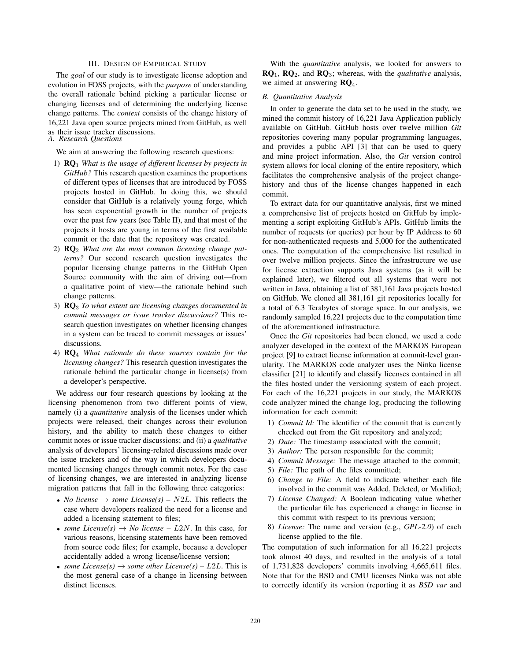# III. DESIGN OF EMPIRICAL STUDY

The *goal* of our study is to investigate license adoption and evolution in FOSS projects, with the *purpose* of understanding the overall rationale behind picking a particular license or changing licenses and of determining the underlying license change patterns. The *context* consists of the change history of 16,221 Java open source projects mined from GitHub, as well as their issue tracker discussions. *A. Research Questions*

# We aim at answering the following research questions:

- 1) RQ<sup>1</sup> *What is the usage of different licenses by projects in GitHub?* This research question examines the proportions of different types of licenses that are introduced by FOSS projects hosted in GitHub. In doing this, we should consider that GitHub is a relatively young forge, which has seen exponential growth in the number of projects over the past few years (see Table II), and that most of the projects it hosts are young in terms of the first available commit or the date that the repository was created.
- 2) RQ<sup>2</sup> *What are the most common licensing change patterns?* Our second research question investigates the popular licensing change patterns in the GitHub Open Source community with the aim of driving out—from a qualitative point of view—the rationale behind such change patterns.
- 3) RQ<sup>3</sup> *To what extent are licensing changes documented in commit messages or issue tracker discussions?* This research question investigates on whether licensing changes in a system can be traced to commit messages or issues' discussions.
- 4) RQ<sup>4</sup> *What rationale do these sources contain for the licensing changes?* This research question investigates the rationale behind the particular change in license(s) from a developer's perspective.

We address our four research questions by looking at the licensing phenomenon from two different points of view, namely (i) a *quantitative* analysis of the licenses under which projects were released, their changes across their evolution history, and the ability to match these changes to either commit notes or issue tracker discussions; and (ii) a *qualitative* analysis of developers' licensing-related discussions made over the issue trackers and of the way in which developers documented licensing changes through commit notes. For the case of licensing changes, we are interested in analyzing license migration patterns that fall in the following three categories:

- *No license*  $\rightarrow$  *some License(s) N2L*. This reflects the case where developers realized the need for a license and added a licensing statement to files;
- *some License(s)*  $\rightarrow$  *No license L2N*. In this case, for various reasons, licensing statements have been removed from source code files; for example, because a developer accidentally added a wrong license/license version;
- *some License(s)*  $\rightarrow$  *some other License(s)* L2L. This is the most general case of a change in licensing between distinct licenses.

With the *quantitative* analysis, we looked for answers to RQ1, RQ2, and RQ3; whereas, with the *qualitative* analysis, we aimed at answering  $\mathbf{R}\mathbf{Q}_4$ .

#### *B. Quantitative Analysis*

In order to generate the data set to be used in the study, we mined the commit history of 16,221 Java Application publicly available on GitHub. GitHub hosts over twelve million *Git* repositories covering many popular programming languages, and provides a public API [3] that can be used to query and mine project information. Also, the *Git* version control system allows for local cloning of the entire repository, which facilitates the comprehensive analysis of the project changehistory and thus of the license changes happened in each commit.

To extract data for our quantitative analysis, first we mined a comprehensive list of projects hosted on GitHub by implementing a script exploiting GitHub's APIs. GitHub limits the number of requests (or queries) per hour by IP Address to 60 for non-authenticated requests and 5,000 for the authenticated ones. The computation of the comprehensive list resulted in over twelve million projects. Since the infrastructure we use for license extraction supports Java systems (as it will be explained later), we filtered out all systems that were not written in Java, obtaining a list of 381,161 Java projects hosted on GitHub. We cloned all 381,161 git repositories locally for a total of 6.3 Terabytes of storage space. In our analysis, we randomly sampled 16,221 projects due to the computation time of the aforementioned infrastructure.

Once the *Git* repositories had been cloned, we used a code analyzer developed in the context of the MARKOS European project [9] to extract license information at commit-level granularity. The MARKOS code analyzer uses the Ninka license classifier [21] to identify and classify licenses contained in all the files hosted under the versioning system of each project. For each of the 16,221 projects in our study, the MARKOS code analyzer mined the change log, producing the following information for each commit:

- 1) *Commit Id:* The identifier of the commit that is currently checked out from the Git repository and analyzed;
- 2) *Date:* The timestamp associated with the commit;
- 3) *Author:* The person responsible for the commit;
- 4) *Commit Message:* The message attached to the commit;
- 5) *File:* The path of the files committed;
- 6) *Change to File:* A field to indicate whether each file involved in the commit was Added, Deleted, or Modified;
- 7) *License Changed:* A Boolean indicating value whether the particular file has experienced a change in license in this commit with respect to its previous version;
- 8) *License:* The name and version (e.g., *GPL-2.0*) of each license applied to the file.

The computation of such information for all 16,221 projects took almost 40 days, and resulted in the analysis of a total of 1,731,828 developers' commits involving 4,665,611 files. Note that for the BSD and CMU licenses Ninka was not able to correctly identify its version (reporting it as *BSD var* and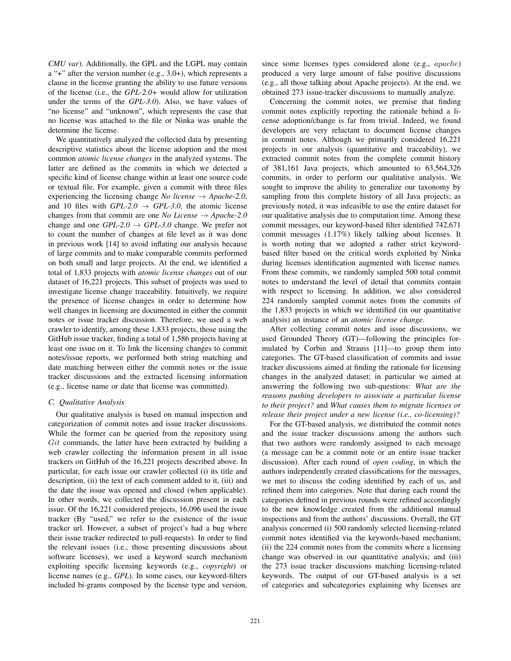*CMU var*). Additionally, the GPL and the LGPL may contain a "+" after the version number (e.g., 3.0+), which represents a clause in the license granting the ability to use future versions of the license (i.e., the *GPL-2.0+* would allow for utilization under the terms of the *GPL-3.0*). Also, we have values of "no license" and "unknown", which represents the case that no license was attached to the file or Ninka was unable the determine the license.

We quantitatively analyzed the collected data by presenting descriptive statistics about the license adoption and the most common *atomic license changes* in the analyzed systems. The latter are defined as the commits in which we detected a specific kind of license change within at least one source code or textual file. For example, given a commit with three files experiencing the licensing change *No license*  $\rightarrow$  *Apache-2.0*, and 10 files with  $GPL-2.0 \rightarrow GPL-3.0$ , the atomic license changes from that commit are one *No License* → *Apache-2.0* change and one  $GPL-2.0 \rightarrow GPL-3.0$  change. We prefer not to count the number of changes at file level as it was done in previous work [14] to avoid inflating our analysis because of large commits and to make comparable commits performed on both small and large projects. At the end, we identified a total of 1,833 projects with *atomic license changes* out of our dataset of 16,221 projects. This subset of projects was used to investigate license change traceability. Intuitively, we require the presence of license changes in order to determine how well changes in licensing are documented in either the commit notes or issue tracker discussion. Therefore, we used a web crawler to identify, among these 1,833 projects, those using the GitHub issue tracker, finding a total of 1,586 projects having at least one issue on it. To link the licensing changes to commit notes/issue reports, we performed both string matching and date matching between either the commit notes or the issue tracker discussions and the extracted licensing information (e.g., license name or date that license was committed).

#### *C. Qualitative Analysis*

Our qualitative analysis is based on manual inspection and categorization of commit notes and issue tracker discussions. While the former can be queried from the repository using Git commands, the latter have been extracted by building a web crawler collecting the information present in all issue trackers on GitHub of the 16,221 projects described above. In particular, for each issue our crawler collected (i) its title and description, (ii) the text of each comment added to it, (iii) and the date the issue was opened and closed (when applicable). In other words, we collected the discussion present in each issue. Of the 16,221 considered projects, 16,096 used the issue tracker (By "used," we refer to the existence of the issue tracker url. However, a subset of project's had a bug where their issue tracker redirected to pull-requests). In order to find the relevant issues (i.e., those presenting discussions about software licenses), we used a keyword search mechanism exploiting specific licensing keywords (e.g., *copyright*) or license names (e.g., *GPL*). In some cases, our keyword-filters included bi-grams composed by the license type and version, since some licenses types considered alone (e.g., *apache*) produced a very large amount of false positive discussions (e.g., all those talking about Apache projects). At the end, we obtained 273 issue-tracker discussions to manually analyze.

Concerning the commit notes, we premise that finding commit notes explicitly reporting the rationale behind a license adoption/change is far from trivial. Indeed, we found developers are very reluctant to document license changes in commit notes. Although we primarily considered 16,221 projects in our analysis (quantitative and traceability), we extracted commit notes from the complete commit history of 381,161 Java projects, which amounted to 63,564,326 commits, in order to perform our qualitative analysis. We sought to improve the ability to generalize our taxonomy by sampling from this complete history of all Java projects; as previously noted, it was infeasible to use the entire dataset for our qualitative analysis due to computation time. Among these commit messages, our keyword-based filter identified 742,671 commit messages (1.17%) likely talking about licenses. It is worth noting that we adopted a rather strict keywordbased filter based on the critical words exploited by Ninka during licenses identification augmented with license names. From these commits, we randomly sampled 500 total commit notes to understand the level of detail that commits contain with respect to licensing. In addition, we also considered 224 randomly sampled commit notes from the commits of the 1,833 projects in which we identified (in our quantitative analysis) an instance of an *atomic license change*.

After collecting commit notes and issue discussions, we used Grounded Theory (GT)—following the principles formulated by Corbin and Strauss [11]—to group them into categories. The GT-based classification of commits and issue tracker discussions aimed at finding the rationale for licensing changes in the analyzed dataset; in particular we aimed at answering the following two sub-questions: *What are the reasons pushing developers to associate a particular license to their project?* and *What causes them to migrate licenses or release their project under a new license (i.e., co-licensing)?*

For the GT-based analysis, we distributed the commit notes and the issue tracker discussions among the authors such that two authors were randomly assigned to each message (a message can be a commit note or an entire issue tracker discussion). After each round of *open coding*, in which the authors independently created classifications for the messages, we met to discuss the coding identified by each of us, and refined them into categories. Note that during each round the categories defined in previous rounds were refined accordingly to the new knowledge created from the additional manual inspections and from the authors' discussions. Overall, the GT analysis concerned (i) 500 randomly selected licensing-related commit notes identified via the keywords-based mechanism; (ii) the 224 commit notes from the commits where a licensing change was observed in our quantitative analysis; and (iii) the 273 issue tracker discussions matching licensing-related keywords. The output of our GT-based analysis is a set of categories and subcategories explaining why licenses are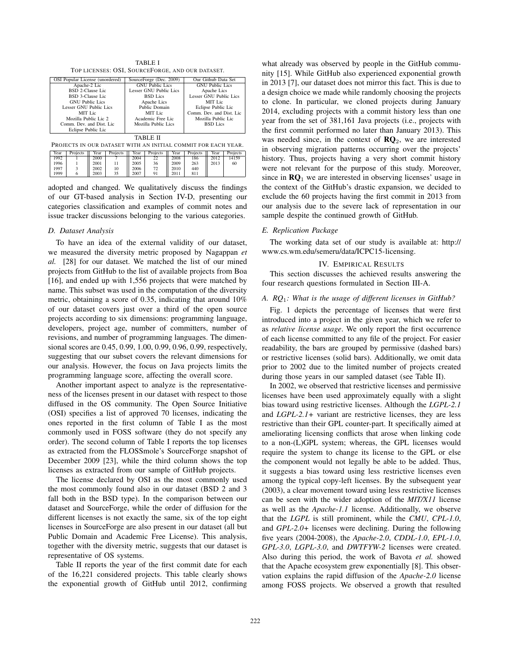TABLE I TOP LICENSES: OSI, SOURCEFORGE, AND OUR DATASET.

| OSI Popular License (unordered) | SourceForge (Dec. 2009) | Our Github Data Set       |  |  |
|---------------------------------|-------------------------|---------------------------|--|--|
| Apache-2 Lic                    | <b>GNU Public Lics</b>  | <b>GNU Public Lics</b>    |  |  |
| BSD 2-Clause Lic                | Lesser GNU Public Lics  | Apache Lics               |  |  |
| BSD 3-Clause Lic                | <b>BSD</b> Lics         | Lesser GNU Public Lics    |  |  |
| <b>GNU</b> Public Lics          | Apache Lics             | MIT Lie                   |  |  |
| Lesser GNU Public Lics          | Public Domain           | Eclipse Public Lic        |  |  |
| MIT Lie                         | MIT Lic                 | Comm. Dev. and Dist. Lic. |  |  |
| Mozilla Public Lic 2            | Academic Free Lic       | Mozilla Public Lic        |  |  |
| Comm. Dev. and Dist. Lic        | Mozilla Public Lics     | <b>BSD</b> Lics           |  |  |
| Eclipse Public Lic              |                         |                           |  |  |
| TABLE II                        |                         |                           |  |  |

PROJECTS IN OUR DATASET WITH AN INITIAL COMMIT FOR EACH YEAR.

| Year | Projects | Year | Projects | Year | Projects | Year | Projects | Year | Projects |
|------|----------|------|----------|------|----------|------|----------|------|----------|
| 1992 |          | 2000 |          | 2004 | つつ<br>∸  | 2008 | 186      | 2012 | 14159    |
| 1996 |          | 2001 |          | 2005 | 36       | 2009 | 263      | 2013 | 60       |
| 1997 |          | 2002 | 10       | 2006 | 72       | 2010 | 440      |      |          |
| 1999 |          | 2003 | 35       | 2007 |          | 2011 | 811      |      |          |

adopted and changed. We qualitatively discuss the findings of our GT-based analysis in Section IV-D, presenting our categories classification and examples of commit notes and issue tracker discussions belonging to the various categories.

### *D. Dataset Analysis*

To have an idea of the external validity of our dataset, we measured the diversity metric proposed by Nagappan *et al.* [28] for our dataset. We matched the list of our mined projects from GitHub to the list of available projects from Boa [16], and ended up with 1,556 projects that were matched by name. This subset was used in the computation of the diversity metric, obtaining a score of 0.35, indicating that around 10% of our dataset covers just over a third of the open source projects according to six dimensions: programming language, developers, project age, number of committers, number of revisions, and number of programming languages. The dimensional scores are 0.45, 0.99, 1.00, 0.99, 0.96, 0.99, respectively, suggesting that our subset covers the relevant dimensions for our analysis. However, the focus on Java projects limits the programming language score, affecting the overall score.

Another important aspect to analyze is the representativeness of the licenses present in our dataset with respect to those diffused in the OS community. The Open Source Initiative (OSI) specifies a list of approved 70 licenses, indicating the ones reported in the first column of Table I as the most commonly used in FOSS software (they do not specify any order). The second column of Table I reports the top licenses as extracted from the FLOSSmole's SourceForge snapshot of December 2009 [23], while the third column shows the top licenses as extracted from our sample of GitHub projects.

The license declared by OSI as the most commonly used the most commonly found also in our dataset (BSD 2 and 3 fall both in the BSD type). In the comparison between our dataset and SourceForge, while the order of diffusion for the different licenses is not exactly the same, six of the top eight licenses in SourceForge are also present in our dataset (all but Public Domain and Academic Free License). This analysis, together with the diversity metric, suggests that our dataset is representative of OS systems.

Table II reports the year of the first commit date for each of the 16,221 considered projects. This table clearly shows the exponential growth of GitHub until 2012, confirming

what already was observed by people in the GitHub community [15]. While GitHub also experienced exponential growth in 2013 [7], our dataset does not mirror this fact. This is due to a design choice we made while randomly choosing the projects to clone. In particular, we cloned projects during January 2014, excluding projects with a commit history less than one year from the set of 381,161 Java projects (i.e., projects with the first commit performed no later than January 2013). This was needed since, in the context of  $\mathbf{R}\mathbf{Q}_2$ , we are interested in observing migration patterns occurring over the projects' history. Thus, projects having a very short commit history were not relevant for the purpose of this study. Moreover, since in  $\mathbb{R}Q_1$  we are interested in observing licenses' usage in the context of the GitHub's drastic expansion, we decided to exclude the 60 projects having the first commit in 2013 from our analysis due to the severe lack of representation in our sample despite the continued growth of GitHub.

#### *E. Replication Package*

The working data set of our study is available at: http:// www.cs.wm.edu/semeru/data/ICPC15-licensing.

## IV. EMPIRICAL RESULTS

This section discusses the achieved results answering the four research questions formulated in Section III-A.

#### *A. RQ*1*: What is the usage of different licenses in GitHub?*

Fig. 1 depicts the percentage of licenses that were first introduced into a project in the given year, which we refer to as *relative license usage*. We only report the first occurrence of each license committed to any file of the project. For easier readability, the bars are grouped by permissive (dashed bars) or restrictive licenses (solid bars). Additionally, we omit data prior to 2002 due to the limited number of projects created during those years in our sampled dataset (see Table II).

In 2002, we observed that restrictive licenses and permissive licenses have been used approximately equally with a slight bias toward using restrictive licenses. Although the *LGPL-2.1* and *LGPL-2.1+* variant are restrictive licenses, they are less restrictive than their GPL counter-part. It specifically aimed at ameliorating licensing conflicts that arose when linking code to a non-(L)GPL system; whereas, the GPL licenses would require the system to change its license to the GPL or else the component would not legally be able to be added. Thus, it suggests a bias toward using less restrictive licenses even among the typical copy-left licenses. By the subsequent year (2003), a clear movement toward using less restrictive licenses can be seen with the wider adoption of the *MIT/X11* license as well as the *Apache-1.1* license. Additionally, we observe that the *LGPL* is still prominent, while the *CMU*, *CPL-1.0*, and *GPL-2.0+* licenses were declining. During the following five years (2004-2008), the *Apache-2.0*, *CDDL-1.0*, *EPL-1.0*, *GPL-3.0*, *LGPL-3.0*, and *DWTFYW-2* licenses were created. Also during this period, the work of Bavota *et al.* showed that the Apache ecosystem grew exponentially [8]. This observation explains the rapid diffusion of the *Apache-2.0* license among FOSS projects. We observed a growth that resulted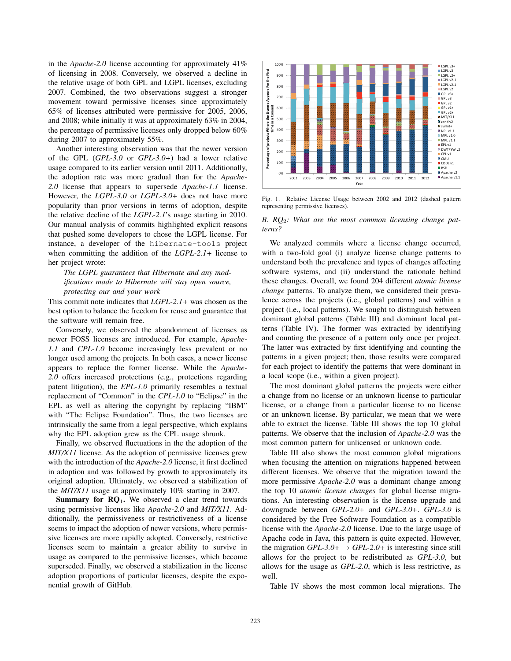in the *Apache-2.0* license accounting for approximately 41% of licensing in 2008. Conversely, we observed a decline in the relative usage of both GPL and LGPL licenses, excluding 2007. Combined, the two observations suggest a stronger movement toward permissive licenses since approximately 65% of licenses attributed were permissive for 2005, 2006, and 2008; while initially it was at approximately 63% in 2004, the percentage of permissive licenses only dropped below 60% during 2007 to approximately 55%.

Another interesting observation was that the newer version of the GPL (*GPL-3.0* or *GPL-3.0+*) had a lower relative usage compared to its earlier version until 2011. Additionally, the adoption rate was more gradual than for the *Apache-2.0* license that appears to supersede *Apache-1.1* license. However, the *LGPL-3.0* or *LGPL-3.0+* does not have more popularity than prior versions in terms of adoption, despite the relative decline of the *LGPL-2.1*'s usage starting in 2010. Our manual analysis of commits highlighted explicit reasons that pushed some developers to chose the LGPL license. For instance, a developer of the hibernate-tools project when committing the addition of the *LGPL-2.1+* license to her project wrote:

*The LGPL guarantees that Hibernate and any modifications made to Hibernate will stay open source, protecting our and your work*

This commit note indicates that *LGPL-2.1+* was chosen as the best option to balance the freedom for reuse and guarantee that the software will remain free.

Conversely, we observed the abandonment of licenses as newer FOSS licenses are introduced. For example, *Apache-1.1* and *CPL-1.0* become increasingly less prevalent or no longer used among the projects. In both cases, a newer license appears to replace the former license. While the *Apache-2.0* offers increased protections (e.g., protections regarding patent litigation), the *EPL-1.0* primarily resembles a textual replacement of "Common" in the *CPL-1.0* to "Eclipse" in the EPL as well as altering the copyright by replacing "IBM" with "The Eclipse Foundation". Thus, the two licenses are intrinsically the same from a legal perspective, which explains why the EPL adoption grew as the CPL usage shrunk.

Finally, we observed fluctuations in the the adoption of the *MIT/X11* license. As the adoption of permissive licenses grew with the introduction of the *Apache-2.0* license, it first declined in adoption and was followed by growth to approximately its original adoption. Ultimately, we observed a stabilization of the *MIT/X11* usage at approximately 10% starting in 2007.

**Summary for**  $\mathbb{R}Q_1$ **.** We observed a clear trend towards using permissive licenses like *Apache-2.0* and *MIT/X11*. Additionally, the permissiveness or restrictiveness of a license seems to impact the adoption of newer versions, where permissive licenses are more rapidly adopted. Conversely, restrictive licenses seem to maintain a greater ability to survive in usage as compared to the permissive licenses, which become superseded. Finally, we observed a stabilization in the license adoption proportions of particular licenses, despite the exponential growth of GitHub.



Fig. 1. Relative License Usage between 2002 and 2012 (dashed pattern representing permissive licenses).

*B. RQ*2*: What are the most common licensing change patterns?*

We analyzed commits where a license change occurred, with a two-fold goal (i) analyze license change patterns to understand both the prevalence and types of changes affecting software systems, and (ii) understand the rationale behind these changes. Overall, we found 204 different *atomic license change* patterns. To analyze them, we considered their prevalence across the projects (i.e., global patterns) and within a project (i.e., local patterns). We sought to distinguish between dominant global patterns (Table III) and dominant local patterns (Table IV). The former was extracted by identifying and counting the presence of a pattern only once per project. The latter was extracted by first identifying and counting the patterns in a given project; then, those results were compared for each project to identify the patterns that were dominant in a local scope (i.e., within a given project).

The most dominant global patterns the projects were either a change from no license or an unknown license to particular license, or a change from a particular license to no license or an unknown license. By particular, we mean that we were able to extract the license. Table III shows the top 10 global patterns. We observe that the inclusion of *Apache-2.0* was the most common pattern for unlicensed or unknown code.

Table III also shows the most common global migrations when focusing the attention on migrations happened between different licenses. We observe that the migration toward the more permissive *Apache-2.0* was a dominant change among the top 10 *atomic license changes* for global license migrations. An interesting observation is the license upgrade and downgrade between *GPL-2.0+* and *GPL-3.0+*. *GPL-3.0* is considered by the Free Software Foundation as a compatible license with the *Apache-2.0* license. Due to the large usage of Apache code in Java, this pattern is quite expected. However, the migration  $GPL-3.0+ \rightarrow GPL-2.0+$  is interesting since still allows for the project to be redistributed as *GPL-3.0*, but allows for the usage as *GPL-2.0*, which is less restrictive, as well.

Table IV shows the most common local migrations. The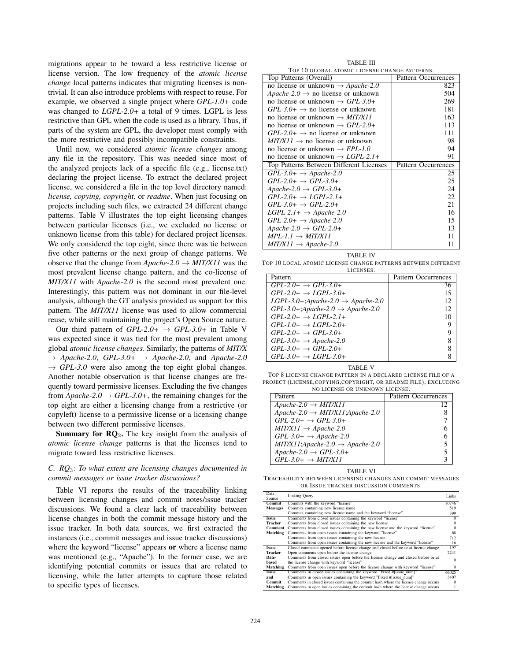migrations appear to be toward a less restrictive license or license version. The low frequency of the *atomic license change* local patterns indicates that migrating licenses is nontrivial. It can also introduce problems with respect to reuse. For example, we observed a single project where *GPL-1.0+* code was changed to *LGPL-2.0+* a total of 9 times. LGPL is less restrictive than GPL when the code is used as a library. Thus, if parts of the system are GPL, the developer must comply with the more restrictive and possibly incompatible constraints.

Until now, we considered *atomic license changes* among any file in the repository. This was needed since most of the analyzed projects lack of a specific file (e.g., license.txt) declaring the project license. To extract the declared project license, we considered a file in the top level directory named: *license, copying, copyright,* or *readme*. When just focusing on projects including such files, we extracted 24 different change patterns. Table V illustrates the top eight licensing changes between particular licenses (i.e., we excluded no license or unknown license from this table) for declared project licenses. We only considered the top eight, since there was tie between five other patterns or the next group of change patterns. We observe that the change from  $A$  *packet* - 2.0  $\rightarrow$  *MIT/X11* was themost prevalent license change pattern, and the co-license of *MIT/X11* with *Apache-2.0* is the second most prevalent one. Interestingly, this pattern was not dominant in our file-level analysis, although the GT analysis provided us support for this pattern. The *MIT/X11* license was used to allow commercial reuse, while still maintaining the project's Open Source nature.

Our third pattern of  $GPL-2.0+ \rightarrow GPL-3.0+$  in Table V was expected since it was tied for the most prevalent among global *atomic license changes*. Similarly, the patterns of *MIT/X*  $\rightarrow$  *Apache-2.0, GPL-3.0+*  $\rightarrow$  *Apache-2.0, and Apache-2.0*  $\rightarrow$  *GPL-3.0* were also among the top eight global changes. Another notable observation is that license changes are frequently toward permissive licenses. Excluding the five changes from  $\text{A}$ *pache-2.0*  $\rightarrow$  *GPL-3.0*+, the remaining changes for the top eight are either a licensing change from a restrictive (or copyleft) license to a permissive license or a licensing change between two different permissive licenses.

**Summary for RQ**<sub>2</sub>. The key insight from the analysis of *atomic license change* patterns is that the licenses tend to migrate toward less restrictive licenses.

# *C. RQ*3*: To what extent are licensing changes documented in commit messages or issue tracker discussions?*

Table VI reports the results of the traceability linking between licensing changes and commit notes/issue tracker discussions. We found a clear lack of traceability between license changes in both the commit message history and the issue tracker. In both data sources, we first extracted the instances (i.e., commit messages and issue tracker discussions) where the keyword "license" appears or where a license name was mentioned (e.g., "Apache"). In the former case, we are identifying potential commits or issues that are related to licensing, while the latter attempts to capture those related to specific types of licenses.

| TABLE III                                             |                     |  |  |  |  |
|-------------------------------------------------------|---------------------|--|--|--|--|
| TOP 10 GLOBAL ATOMIC LICENSE CHANGE PATTERNS.         |                     |  |  |  |  |
| Top Patterns (Overall)                                | Pattern Occurrences |  |  |  |  |
| no license or unknown $\rightarrow$ Apache-2.0        | 823                 |  |  |  |  |
| <i>Apache-2.0</i> $\rightarrow$ no license or unknown | 504                 |  |  |  |  |
| no license or unknown $\rightarrow$ GPL-3.0+          | 269                 |  |  |  |  |
| $GPL-3.0+ \rightarrow$ no license or unknown          | 181                 |  |  |  |  |
| no license or unknown $\rightarrow MIT/X11$           | 163                 |  |  |  |  |
| no license or unknown $\rightarrow$ GPL-2.0+          | 113                 |  |  |  |  |
| $GPL-2.0+ \rightarrow$ no license or unknown          | 111                 |  |  |  |  |
| $MIT/XII \rightarrow$ no license or unknown           | 98                  |  |  |  |  |
| no license or unknown $\rightarrow$ EPL-1.0           | 94                  |  |  |  |  |
| no license or unknown $\rightarrow$ <i>LGPL-2.1+</i>  | 91                  |  |  |  |  |
| Top Patterns Between Different Licenses               | Pattern Occurrences |  |  |  |  |
| $GPL-3.0+$ $\rightarrow$ Apache-2.0                   | 25                  |  |  |  |  |
| $GPL-2.0+ \rightarrow GPL-3.0+$                       | 25                  |  |  |  |  |
| Apache-2.0 $\rightarrow$ GPL-3.0+                     | 24                  |  |  |  |  |
| $GPL-2.0+$ $\rightarrow$ LGPL-2.1+                    | 22                  |  |  |  |  |
| $GPL-3.0+ \rightarrow GPL-2.0+$                       | 21                  |  |  |  |  |
| $LGPL-2.1+ \rightarrow Apache-2.0$                    | 16                  |  |  |  |  |
| $GPL-2.0+ \rightarrow Apache-2.0$                     | 15                  |  |  |  |  |
| Apache-2.0 $\rightarrow$ GPL-2.0+                     | 13                  |  |  |  |  |
| $MPL-1.1 \rightarrow MIT/X11$                         | 11                  |  |  |  |  |
| $MIT/X11 \rightarrow Apache-2.0$                      | 11                  |  |  |  |  |

TABLE III

TABLE IV

TOP 10 LOCAL ATOMIC LICENSE CHANGE PATTERNS BETWEEN DIFFERENT LICENSES.

| Pattern                                       | Pattern Occurrences |
|-----------------------------------------------|---------------------|
| $GPL-2.0+ \rightarrow GPL-3.0+$               | 36                  |
| $GPL-2.0+$ $\rightarrow$ LGPL-3.0+            | 15                  |
| LGPL-3.0+;Apache-2.0 $\rightarrow$ Apache-2.0 | 12                  |
| $GPL-3.0+; Apache-2.0 \rightarrow Apache-2.0$ | 12                  |
| $GPL-2.0+$ $\rightarrow$ LGPL-2.1+            |                     |
| $GPL-1.0+ \rightarrow LGPL-2.0+$              |                     |
| $GPL-2.0+ \rightarrow GPL-3.0+$               |                     |
| $GPL-3.0+ \rightarrow Apache-2.0$             |                     |
| $GPL-3.0+$ $\rightarrow$ $GPL-2.0+$           |                     |
| $GPL-3.0+$ $\rightarrow$ LGPL-3.0+            |                     |

TABLE V

TOP 8 LICENSE CHANGE PATTERN IN A DECLARED LICENSE FILE OF A PROJECT (LICENSE,COPYING,COPYRIGHT, OR README FILE), EXCLUDING NO LICENSE OR UNKNOWN LICENSE.

| Pattern                                      | Pattern Occurrences |
|----------------------------------------------|---------------------|
| $A packet-2.0 \rightarrow MIT/X11$           |                     |
| Apache-2.0 $\rightarrow$ MIT/X11;Apache-2.0  |                     |
| $GPL-2.0+$ $\rightarrow$ $GPL-3.0+$          |                     |
| $MIT/X11 \rightarrow Apache-2.0$             |                     |
| $GPL-3.0+$ $\rightarrow$ Apache-2.0          |                     |
| $MIT/X11; Apache-2.0 \rightarrow Apache-2.0$ |                     |
| Apache-2.0 $\rightarrow$ GPL-3.0+            |                     |
| $GPL-3.0+ \rightarrow MIT/X11$               |                     |

TABLE VI

TRACEABILITY BETWEEN LICENSING CHANGES AND COMMIT MESSAGES OR ISSUE TRACKER DISCUSSION COMMENTS.

| Data<br>Source  | Linking Query                                                                        | Links    |
|-----------------|--------------------------------------------------------------------------------------|----------|
| <b>Commit</b>   | Commits with the keyword "license"                                                   | 70746    |
| <b>Messages</b> | Commits containing new license name                                                  | 519      |
|                 | Commits containing new license name and the keyword "license"                        | 399      |
| Issue           | Comments from closed issues containing the keyword "license"                         | $\Omega$ |
| <b>Tracker</b>  | Comments from closed issues containing the new license                               |          |
| Comment         | Comments from closed issues containing the new license and the keyword "license"     |          |
| Matching        | Comments from open issues containing the keyword "license"                           | 68       |
|                 | Comments from open issues containing the new license                                 | 712      |
|                 | Comments from open issues containing the new license and the keyword "license"       | 16       |
| <b>Issue</b>    | Closed comments opened before license change and closed before or at license change  | 197      |
| <b>Tracker</b>  | Open comments open before the license change                                         | 2241     |
| Date-           | Comments from closed issues open before the license change and closed before or at   | $\Omega$ |
| based           | the license change with keyword "license"                                            |          |
| Matching        | Comments from open issues open before the license change with keyword "license"      | $\Omega$ |
| <b>Issue</b>    | Comments in closed issues containing the keyword "Fixed #[issue num]"                | 66025    |
| and             | Comments in open issues containing the keyword "Fixed #[issue_num]"                  | 3407     |
| Commit          | Comments in closed issues containing the commit hash where the license change occurs |          |
| Matching        | Comments in open issues containing the commit hash where the license change occurs   |          |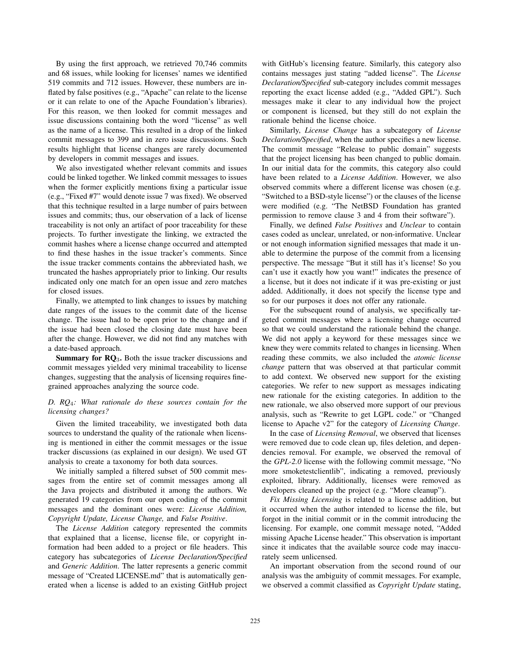By using the first approach, we retrieved 70,746 commits and 68 issues, while looking for licenses' names we identified 519 commits and 712 issues. However, these numbers are inflated by false positives (e.g., "Apache" can relate to the license or it can relate to one of the Apache Foundation's libraries). For this reason, we then looked for commit messages and issue discussions containing both the word "license" as well as the name of a license. This resulted in a drop of the linked commit messages to 399 and in zero issue discussions. Such results highlight that license changes are rarely documented by developers in commit messages and issues.

We also investigated whether relevant commits and issues could be linked together. We linked commit messages to issues when the former explicitly mentions fixing a particular issue (e.g., "Fixed #7" would denote issue 7 was fixed). We observed that this technique resulted in a large number of pairs between issues and commits; thus, our observation of a lack of license traceability is not only an artifact of poor traceability for these projects. To further investigate the linking, we extracted the commit hashes where a license change occurred and attempted to find these hashes in the issue tracker's comments. Since the issue tracker comments contains the abbreviated hash, we truncated the hashes appropriately prior to linking. Our results indicated only one match for an open issue and zero matches for closed issues.

Finally, we attempted to link changes to issues by matching date ranges of the issues to the commit date of the license change. The issue had to be open prior to the change and if the issue had been closed the closing date must have been after the change. However, we did not find any matches with a date-based approach.

**Summary for**  $\mathbb{R}Q_3$ **.** Both the issue tracker discussions and commit messages yielded very minimal traceability to license changes, suggesting that the analysis of licensing requires finegrained approaches analyzing the source code.

# *D. RQ*4*: What rationale do these sources contain for the licensing changes?*

Given the limited traceability, we investigated both data sources to understand the quality of the rationale when licensing is mentioned in either the commit messages or the issue tracker discussions (as explained in our design). We used GT analysis to create a taxonomy for both data sources.

We initially sampled a filtered subset of 500 commit messages from the entire set of commit messages among all the Java projects and distributed it among the authors. We generated 19 categories from our open coding of the commit messages and the dominant ones were: *License Addition, Copyright Update, License Change,* and *False Positive*.

The *License Addition* category represented the commits that explained that a license, license file, or copyright information had been added to a project or file headers. This category has subcategories of *License Declaration/Specified* and *Generic Addition*. The latter represents a generic commit message of "Created LICENSE.md" that is automatically generated when a license is added to an existing GitHub project

with GitHub's licensing feature. Similarly, this category also contains messages just stating "added license". The *License Declaration/Specified* sub-category includes commit messages reporting the exact license added (e.g., "Added GPL"). Such messages make it clear to any individual how the project or component is licensed, but they still do not explain the rationale behind the license choice.

Similarly, *License Change* has a subcategory of *License Declaration/Specified*, when the author specifies a new license. The commit message "Release to public domain" suggests that the project licensing has been changed to public domain. In our initial data for the commits, this category also could have been related to a *License Addition*. However, we also observed commits where a different license was chosen (e.g. "Switched to a BSD-style license") or the clauses of the license were modified (e.g. "The NetBSD Foundation has granted permission to remove clause 3 and 4 from their software").

Finally, we defined *False Positives* and *Unclear* to contain cases coded as unclear, unrelated, or non-informative. Unclear or not enough information signified messages that made it unable to determine the purpose of the commit from a licensing perspective. The message "But it still has it's license! So you can't use it exactly how you want!" indicates the presence of a license, but it does not indicate if it was pre-existing or just added. Additionally, it does not specify the license type and so for our purposes it does not offer any rationale.

For the subsequent round of analysis, we specifically targeted commit messages where a licensing change occurred so that we could understand the rationale behind the change. We did not apply a keyword for these messages since we knew they were commits related to changes in licensing. When reading these commits, we also included the *atomic license change* pattern that was observed at that particular commit to add context. We observed new support for the existing categories. We refer to new support as messages indicating new rationale for the existing categories. In addition to the new rationale, we also observed more support of our previous analysis, such as "Rewrite to get LGPL code." or "Changed license to Apache v2" for the category of *Licensing Change*.

In the case of *Licensing Removal*, we observed that licenses were removed due to code clean up, files deletion, and dependencies removal. For example, we observed the removal of the *GPL-2.0* license with the following commit message, "No more smoketestclientlib", indicating a removed, previously exploited, library. Additionally, licenses were removed as developers cleaned up the project (e.g. "More cleanup").

*Fix Missing Licensing* is related to a license addition, but it occurred when the author intended to license the file, but forgot in the initial commit or in the commit introducing the licensing. For example, one commit message noted, "Added missing Apache License header." This observation is important since it indicates that the available source code may inaccurately seem unlicensed.

An important observation from the second round of our analysis was the ambiguity of commit messages. For example, we observed a commit classified as *Copyright Update* stating,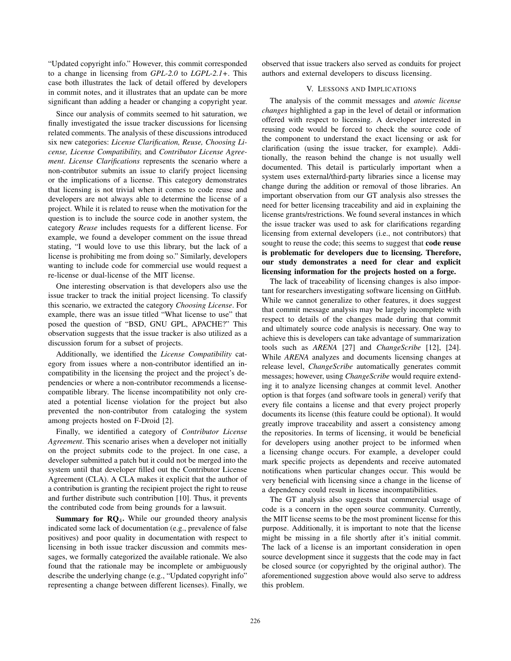"Updated copyright info." However, this commit corresponded to a change in licensing from *GPL-2.0* to *LGPL-2.1+*. This case both illustrates the lack of detail offered by developers in commit notes, and it illustrates that an update can be more significant than adding a header or changing a copyright year.

Since our analysis of commits seemed to hit saturation, we finally investigated the issue tracker discussions for licensing related comments. The analysis of these discussions introduced six new categories: *License Clarification, Reuse, Choosing License, License Compatibility,* and *Contributor License Agreement*. *License Clarifications* represents the scenario where a non-contributor submits an issue to clarify project licensing or the implications of a license. This category demonstrates that licensing is not trivial when it comes to code reuse and developers are not always able to determine the license of a project. While it is related to reuse when the motivation for the question is to include the source code in another system, the category *Reuse* includes requests for a different license. For example, we found a developer comment on the issue thread stating, "I would love to use this library, but the lack of a license is prohibiting me from doing so." Similarly, developers wanting to include code for commercial use would request a re-license or dual-license of the MIT license.

One interesting observation is that developers also use the issue tracker to track the initial project licensing. To classify this scenario, we extracted the category *Choosing License*. For example, there was an issue titled "What license to use" that posed the question of "BSD, GNU GPL, APACHE?" This observation suggests that the issue tracker is also utilized as a discussion forum for a subset of projects.

Additionally, we identified the *License Compatibility* category from issues where a non-contributor identified an incompatibility in the licensing the project and the project's dependencies or where a non-contributor recommends a licensecompatible library. The license incompatibility not only created a potential license violation for the project but also prevented the non-contributor from cataloging the system among projects hosted on F-Droid [2].

Finally, we identified a category of *Contributor License Agreement*. This scenario arises when a developer not initially on the project submits code to the project. In one case, a developer submitted a patch but it could not be merged into the system until that developer filled out the Contributor License Agreement (CLA). A CLA makes it explicit that the author of a contribution is granting the recipient project the right to reuse and further distribute such contribution [10]. Thus, it prevents the contributed code from being grounds for a lawsuit.

**Summary for RQ**4. While our grounded theory analysis indicated some lack of documentation (e.g., prevalence of false positives) and poor quality in documentation with respect to licensing in both issue tracker discussion and commits messages, we formally categorized the available rationale. We also found that the rationale may be incomplete or ambiguously describe the underlying change (e.g., "Updated copyright info" representing a change between different licenses). Finally, we observed that issue trackers also served as conduits for project authors and external developers to discuss licensing.

# V. LESSONS AND IMPLICATIONS

The analysis of the commit messages and *atomic license changes* highlighted a gap in the level of detail or information offered with respect to licensing. A developer interested in reusing code would be forced to check the source code of the component to understand the exact licensing or ask for clarification (using the issue tracker, for example). Additionally, the reason behind the change is not usually well documented. This detail is particularly important when a system uses external/third-party libraries since a license may change during the addition or removal of those libraries. An important observation from our GT analysis also stresses the need for better licensing traceability and aid in explaining the license grants/restrictions. We found several instances in which the issue tracker was used to ask for clarifications regarding licensing from external developers (i.e., not contributors) that sought to reuse the code; this seems to suggest that code reuse is problematic for developers due to licensing. Therefore, our study demonstrates a need for clear and explicit licensing information for the projects hosted on a forge.

The lack of traceability of licensing changes is also important for researchers investigating software licensing on GitHub. While we cannot generalize to other features, it does suggest that commit message analysis may be largely incomplete with respect to details of the changes made during that commit and ultimately source code analysis is necessary. One way to achieve this is developers can take advantage of summarization tools such as *ARENA* [27] and *ChangeScribe* [12], [24]. While *ARENA* analyzes and documents licensing changes at release level, *ChangeScribe* automatically generates commit messages; however, using *ChangeScribe* would require extending it to analyze licensing changes at commit level. Another option is that forges (and software tools in general) verify that every file contains a license and that every project properly documents its license (this feature could be optional). It would greatly improve traceability and assert a consistency among the repositories. In terms of licensing, it would be beneficial for developers using another project to be informed when a licensing change occurs. For example, a developer could mark specific projects as dependents and receive automated notifications when particular changes occur. This would be very beneficial with licensing since a change in the license of a dependency could result in license incompatibilities.

The GT analysis also suggests that commercial usage of code is a concern in the open source community. Currently, the MIT license seems to be the most prominent license for this purpose. Additionally, it is important to note that the license might be missing in a file shortly after it's initial commit. The lack of a license is an important consideration in open source development since it suggests that the code may in fact be closed source (or copyrighted by the original author). The aforementioned suggestion above would also serve to address this problem.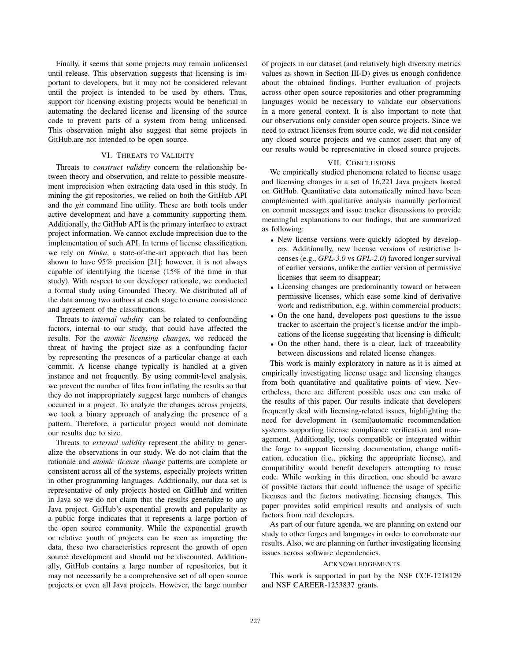Finally, it seems that some projects may remain unlicensed until release. This observation suggests that licensing is important to developers, but it may not be considered relevant until the project is intended to be used by others. Thus, support for licensing existing projects would be beneficial in automating the declared license and licensing of the source code to prevent parts of a system from being unlicensed. This observation might also suggest that some projects in GitHub,are not intended to be open source.

# VI. THREATS TO VALIDITY

Threats to *construct validity* concern the relationship between theory and observation, and relate to possible measurement imprecision when extracting data used in this study. In mining the git repositories, we relied on both the GitHub API and the *git* command line utility. These are both tools under active development and have a community supporting them. Additionally, the GitHub API is the primary interface to extract project information. We cannot exclude imprecision due to the implementation of such API. In terms of license classification, we rely on *Ninka*, a state-of-the-art approach that has been shown to have 95% precision [21]; however, it is not always capable of identifying the license (15% of the time in that study). With respect to our developer rationale, we conducted a formal study using Grounded Theory. We distributed all of the data among two authors at each stage to ensure consistence and agreement of the classifications.

Threats to *internal validity* can be related to confounding factors, internal to our study, that could have affected the results. For the *atomic licensing changes*, we reduced the threat of having the project size as a confounding factor by representing the presences of a particular change at each commit. A license change typically is handled at a given instance and not frequently. By using commit-level analysis, we prevent the number of files from inflating the results so that they do not inappropriately suggest large numbers of changes occurred in a project. To analyze the changes across projects, we took a binary approach of analyzing the presence of a pattern. Therefore, a particular project would not dominate our results due to size.

Threats to *external validity* represent the ability to generalize the observations in our study. We do not claim that the rationale and *atomic license change* patterns are complete or consistent across all of the systems, especially projects written in other programming languages. Additionally, our data set is representative of only projects hosted on GitHub and written in Java so we do not claim that the results generalize to any Java project. GitHub's exponential growth and popularity as a public forge indicates that it represents a large portion of the open source community. While the exponential growth or relative youth of projects can be seen as impacting the data, these two characteristics represent the growth of open source development and should not be discounted. Additionally, GitHub contains a large number of repositories, but it may not necessarily be a comprehensive set of all open source projects or even all Java projects. However, the large number of projects in our dataset (and relatively high diversity metrics values as shown in Section III-D) gives us enough confidence about the obtained findings. Further evaluation of projects across other open source repositories and other programming languages would be necessary to validate our observations in a more general context. It is also important to note that our observations only consider open source projects. Since we need to extract licenses from source code, we did not consider any closed source projects and we cannot assert that any of our results would be representative in closed source projects.

#### VII. CONCLUSIONS

We empirically studied phenomena related to license usage and licensing changes in a set of 16,221 Java projects hosted on GitHub. Quantitative data automatically mined have been complemented with qualitative analysis manually performed on commit messages and issue tracker discussions to provide meaningful explanations to our findings, that are summarized as following:

- New license versions were quickly adopted by developers. Additionally, new license versions of restrictive licenses (e.g., *GPL-3.0* vs *GPL-2.0*) favored longer survival of earlier versions, unlike the earlier version of permissive licenses that seem to disappear;
- Licensing changes are predominantly toward or between permissive licenses, which ease some kind of derivative work and redistribution, e.g. within commercial products;
- On the one hand, developers post questions to the issue tracker to ascertain the project's license and/or the implications of the license suggesting that licensing is difficult;
- On the other hand, there is a clear, lack of traceability between discussions and related license changes.

This work is mainly exploratory in nature as it is aimed at empirically investigating license usage and licensing changes from both quantitative and qualitative points of view. Nevertheless, there are different possible uses one can make of the results of this paper. Our results indicate that developers frequently deal with licensing-related issues, highlighting the need for development in (semi)automatic recommendation systems supporting license compliance verification and management. Additionally, tools compatible or integrated within the forge to support licensing documentation, change notification, education (i.e., picking the appropriate license), and compatibility would benefit developers attempting to reuse code. While working in this direction, one should be aware of possible factors that could influence the usage of specific licenses and the factors motivating licensing changes. This paper provides solid empirical results and analysis of such factors from real developers.

As part of our future agenda, we are planning on extend our study to other forges and languages in order to corroborate our results. Also, we are planning on further investigating licensing issues across software dependencies.

#### ACKNOWLEDGEMENTS

This work is supported in part by the NSF CCF-1218129 and NSF CAREER-1253837 grants.